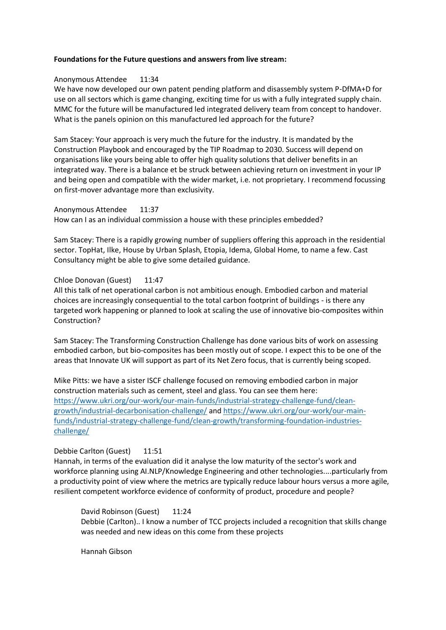### **Foundations for the Future questions and answers from live stream:**

### Anonymous Attendee 11:34

We have now developed our own patent pending platform and disassembly system P-DfMA+D for use on all sectors which is game changing, exciting time for us with a fully integrated supply chain. MMC for the future will be manufactured led integrated delivery team from concept to handover. What is the panels opinion on this manufactured led approach for the future?

Sam Stacey: Your approach is very much the future for the industry. It is mandated by the Construction Playbook and encouraged by the TIP Roadmap to 2030. Success will depend on organisations like yours being able to offer high quality solutions that deliver benefits in an integrated way. There is a balance et be struck between achieving return on investment in your IP and being open and compatible with the wider market, i.e. not proprietary. I recommend focussing on first-mover advantage more than exclusivity.

### Anonymous Attendee 11:37

How can I as an individual commission a house with these principles embedded?

Sam Stacey: There is a rapidly growing number of suppliers offering this approach in the residential sector. TopHat, Ilke, House by Urban Splash, Etopia, Idema, Global Home, to name a few. Cast Consultancy might be able to give some detailed guidance.

## Chloe Donovan (Guest) 11:47

All this talk of net operational carbon is not ambitious enough. Embodied carbon and material choices are increasingly consequential to the total carbon footprint of buildings - is there any targeted work happening or planned to look at scaling the use of innovative bio-composites within Construction?

Sam Stacey: The Transforming Construction Challenge has done various bits of work on assessing embodied carbon, but bio-composites has been mostly out of scope. I expect this to be one of the areas that Innovate UK will support as part of its Net Zero focus, that is currently being scoped.

Mike Pitts: we have a sister ISCF challenge focused on removing embodied carbon in major construction materials such as cement, steel and glass. You can see them here: [https://www.ukri.org/our-work/our-main-funds/industrial-strategy-challenge-fund/clean](https://www.ukri.org/our-work/our-main-funds/industrial-strategy-challenge-fund/clean-growth/industrial-decarbonisation-challenge/)[growth/industrial-decarbonisation-challenge/](https://www.ukri.org/our-work/our-main-funds/industrial-strategy-challenge-fund/clean-growth/industrial-decarbonisation-challenge/) and [https://www.ukri.org/our-work/our-main](https://www.ukri.org/our-work/our-main-funds/industrial-strategy-challenge-fund/clean-growth/transforming-foundation-industries-challenge/)[funds/industrial-strategy-challenge-fund/clean-growth/transforming-foundation-industries](https://www.ukri.org/our-work/our-main-funds/industrial-strategy-challenge-fund/clean-growth/transforming-foundation-industries-challenge/)[challenge/](https://www.ukri.org/our-work/our-main-funds/industrial-strategy-challenge-fund/clean-growth/transforming-foundation-industries-challenge/)

# Debbie Carlton (Guest) 11:51

Hannah, in terms of the evaluation did it analyse the low maturity of the sector's work and workforce planning using AI.NLP/Knowledge Engineering and other technologies....particularly from a productivity point of view where the metrics are typically reduce labour hours versus a more agile, resilient competent workforce evidence of conformity of product, procedure and people?

David Robinson (Guest) 11:24 Debbie (Carlton).. I know a number of TCC projects included a recognition that skills change was needed and new ideas on this come from these projects

Hannah Gibson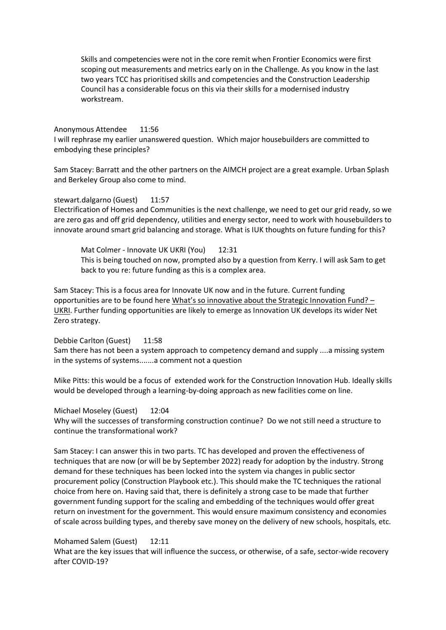Skills and competencies were not in the core remit when Frontier Economics were first scoping out measurements and metrics early on in the Challenge. As you know in the last two years TCC has prioritised skills and competencies and the Construction Leadership Council has a considerable focus on this via their skills for a modernised industry workstream.

#### Anonymous Attendee 11:56

I will rephrase my earlier unanswered question. Which major housebuilders are committed to embodying these principles?

Sam Stacey: Barratt and the other partners on the AIMCH project are a great example. Urban Splash and Berkeley Group also come to mind.

#### stewart.dalgarno (Guest) 11:57

Electrification of Homes and Communities is the next challenge, we need to get our grid ready, so we are zero gas and off grid dependency, utilities and energy sector, need to work with housebuilders to innovate around smart grid balancing and storage. What is IUK thoughts on future funding for this?

Mat Colmer - Innovate UK UKRI (You) 12:31 This is being touched on now, prompted also by a question from Kerry. I will ask Sam to get back to you re: future funding as this is a complex area.

Sam Stacey: This is a focus area for Innovate UK now and in the future. Current funding opportunities are to be found here [What's so innovative about the Strategic Innovation Fund? –](https://www.ukri.org/blog/whats-so-innovative-about-the-strategic-innovation-fund/) [UKRI.](https://www.ukri.org/blog/whats-so-innovative-about-the-strategic-innovation-fund/) Further funding opportunities are likely to emerge as Innovation UK develops its wider Net Zero strategy.

### Debbie Carlton (Guest) 11:58

Sam there has not been a system approach to competency demand and supply ....a missing system in the systems of systems.......a comment not a question

Mike Pitts: this would be a focus of extended work for the Construction Innovation Hub. Ideally skills would be developed through a learning-by-doing approach as new facilities come on line.

Michael Moseley (Guest) 12:04 Why will the successes of transforming construction continue? Do we not still need a structure to continue the transformational work?

Sam Stacey: I can answer this in two parts. TC has developed and proven the effectiveness of techniques that are now (or will be by September 2022) ready for adoption by the industry. Strong demand for these techniques has been locked into the system via changes in public sector procurement policy (Construction Playbook etc.). This should make the TC techniques the rational choice from here on. Having said that, there is definitely a strong case to be made that further government funding support for the scaling and embedding of the techniques would offer great return on investment for the government. This would ensure maximum consistency and economies of scale across building types, and thereby save money on the delivery of new schools, hospitals, etc.

Mohamed Salem (Guest) 12:11 What are the key issues that will influence the success, or otherwise, of a safe, sector-wide recovery after COVID-19?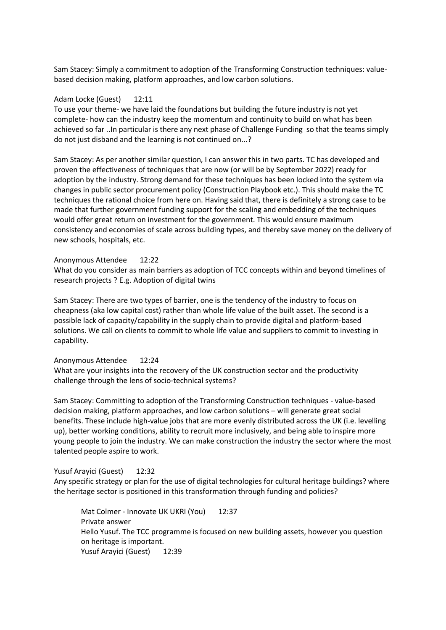Sam Stacey: Simply a commitment to adoption of the Transforming Construction techniques: valuebased decision making, platform approaches, and low carbon solutions.

#### Adam Locke (Guest) 12:11

To use your theme- we have laid the foundations but building the future industry is not yet complete- how can the industry keep the momentum and continuity to build on what has been achieved so far ..In particular is there any next phase of Challenge Funding so that the teams simply do not just disband and the learning is not continued on...?

Sam Stacey: As per another similar question, I can answer this in two parts. TC has developed and proven the effectiveness of techniques that are now (or will be by September 2022) ready for adoption by the industry. Strong demand for these techniques has been locked into the system via changes in public sector procurement policy (Construction Playbook etc.). This should make the TC techniques the rational choice from here on. Having said that, there is definitely a strong case to be made that further government funding support for the scaling and embedding of the techniques would offer great return on investment for the government. This would ensure maximum consistency and economies of scale across building types, and thereby save money on the delivery of new schools, hospitals, etc.

#### Anonymous Attendee 12:22

What do you consider as main barriers as adoption of TCC concepts within and beyond timelines of research projects ? E.g. Adoption of digital twins

Sam Stacey: There are two types of barrier, one is the tendency of the industry to focus on cheapness (aka low capital cost) rather than whole life value of the built asset. The second is a possible lack of capacity/capability in the supply chain to provide digital and platform-based solutions. We call on clients to commit to whole life value and suppliers to commit to investing in capability.

#### Anonymous Attendee 12:24

What are your insights into the recovery of the UK construction sector and the productivity challenge through the lens of socio-technical systems?

Sam Stacey: Committing to adoption of the Transforming Construction techniques - value-based decision making, platform approaches, and low carbon solutions – will generate great social benefits. These include high-value jobs that are more evenly distributed across the UK (i.e. levelling up), better working conditions, ability to recruit more inclusively, and being able to inspire more young people to join the industry. We can make construction the industry the sector where the most talented people aspire to work.

### Yusuf Arayici (Guest) 12:32

Any specific strategy or plan for the use of digital technologies for cultural heritage buildings? where the heritage sector is positioned in this transformation through funding and policies?

Mat Colmer - Innovate UK UKRI (You) 12:37 Private answer Hello Yusuf. The TCC programme is focused on new building assets, however you question on heritage is important. Yusuf Arayici (Guest) 12:39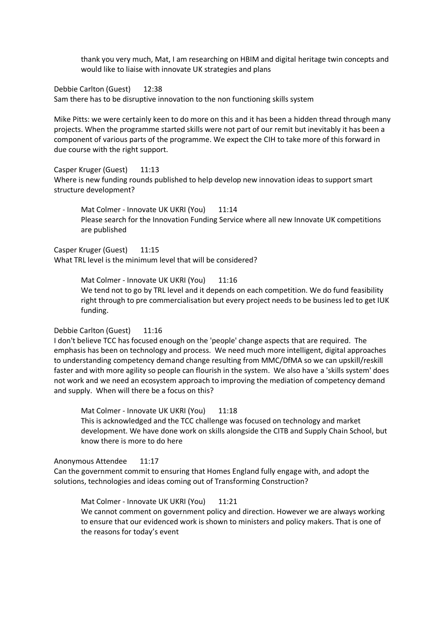thank you very much, Mat, I am researching on HBIM and digital heritage twin concepts and would like to liaise with innovate UK strategies and plans

Debbie Carlton (Guest) 12:38 Sam there has to be disruptive innovation to the non functioning skills system

Mike Pitts: we were certainly keen to do more on this and it has been a hidden thread through many projects. When the programme started skills were not part of our remit but inevitably it has been a component of various parts of the programme. We expect the CIH to take more of this forward in due course with the right support.

#### Casper Kruger (Guest) 11:13

Where is new funding rounds published to help develop new innovation ideas to support smart structure development?

Mat Colmer - Innovate UK UKRI (You) 11:14 Please search for the Innovation Funding Service where all new Innovate UK competitions are published

Casper Kruger (Guest) 11:15 What TRL level is the minimum level that will be considered?

> Mat Colmer - Innovate UK UKRI (You) 11:16 We tend not to go by TRL level and it depends on each competition. We do fund feasibility right through to pre commercialisation but every project needs to be business led to get IUK funding.

### Debbie Carlton (Guest) 11:16

I don't believe TCC has focused enough on the 'people' change aspects that are required. The emphasis has been on technology and process. We need much more intelligent, digital approaches to understanding competency demand change resulting from MMC/DfMA so we can upskill/reskill faster and with more agility so people can flourish in the system. We also have a 'skills system' does not work and we need an ecosystem approach to improving the mediation of competency demand and supply. When will there be a focus on this?

Mat Colmer - Innovate UK UKRI (You) 11:18 This is acknowledged and the TCC challenge was focused on technology and market development. We have done work on skills alongside the CITB and Supply Chain School, but know there is more to do here

## Anonymous Attendee 11:17

Can the government commit to ensuring that Homes England fully engage with, and adopt the solutions, technologies and ideas coming out of Transforming Construction?

Mat Colmer - Innovate UK UKRI (You) 11:21 We cannot comment on government policy and direction. However we are always working to ensure that our evidenced work is shown to ministers and policy makers. That is one of the reasons for today's event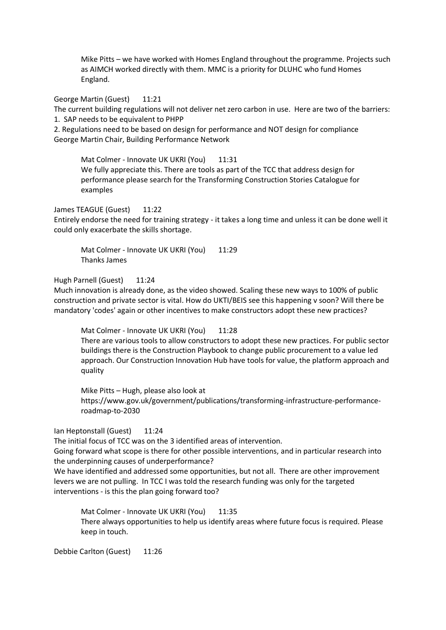Mike Pitts – we have worked with Homes England throughout the programme. Projects such as AIMCH worked directly with them. MMC is a priority for DLUHC who fund Homes England.

George Martin (Guest) 11:21

The current building regulations will not deliver net zero carbon in use. Here are two of the barriers: 1. SAP needs to be equivalent to PHPP

2. Regulations need to be based on design for performance and NOT design for compliance George Martin Chair, Building Performance Network

Mat Colmer - Innovate UK UKRI (You) 11:31 We fully appreciate this. There are tools as part of the TCC that address design for performance please search for the Transforming Construction Stories Catalogue for examples

#### James TEAGUE (Guest) 11:22

Entirely endorse the need for training strategy - it takes a long time and unless it can be done well it could only exacerbate the skills shortage.

Mat Colmer - Innovate UK UKRI (You) 11:29 Thanks James

Hugh Parnell (Guest) 11:24

Much innovation is already done, as the video showed. Scaling these new ways to 100% of public construction and private sector is vital. How do UKTI/BEIS see this happening v soon? Will there be mandatory 'codes' again or other incentives to make constructors adopt these new practices?

Mat Colmer - Innovate UK UKRI (You) 11:28 There are various tools to allow constructors to adopt these new practices. For public sector buildings there is the Construction Playbook to change public procurement to a value led approach. Our Construction Innovation Hub have tools for value, the platform approach and quality

Mike Pitts – Hugh, please also look at https://www.gov.uk/government/publications/transforming-infrastructure-performanceroadmap-to-2030

Ian Heptonstall (Guest) 11:24

The initial focus of TCC was on the 3 identified areas of intervention.

Going forward what scope is there for other possible interventions, and in particular research into the underpinning causes of underperformance?

We have identified and addressed some opportunities, but not all. There are other improvement levers we are not pulling. In TCC I was told the research funding was only for the targeted interventions - is this the plan going forward too?

Mat Colmer - Innovate UK UKRI (You) 11:35 There always opportunities to help us identify areas where future focus is required. Please keep in touch.

Debbie Carlton (Guest) 11:26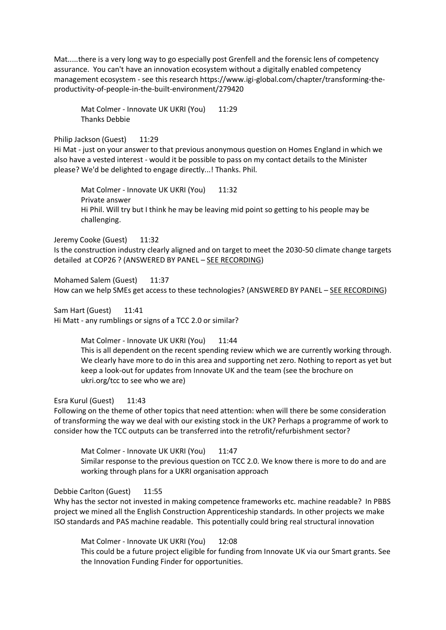Mat.....there is a very long way to go especially post Grenfell and the forensic lens of competency assurance. You can't have an innovation ecosystem without a digitally enabled competency management ecosystem - see this research https://www.igi-global.com/chapter/transforming-theproductivity-of-people-in-the-built-environment/279420

Mat Colmer - Innovate UK UKRI (You) 11:29 Thanks Debbie

Philip Jackson (Guest) 11:29

Hi Mat - just on your answer to that previous anonymous question on Homes England in which we also have a vested interest - would it be possible to pass on my contact details to the Minister please? We'd be delighted to engage directly...! Thanks. Phil.

Mat Colmer - Innovate UK UKRI (You) 11:32 Private answer Hi Phil. Will try but I think he may be leaving mid point so getting to his people may be challenging.

Jeremy Cooke (Guest) 11:32 Is the construction industry clearly aligned and on target to meet the 2030-50 climate change targets detailed at COP26 ? (ANSWERED BY PANEL – [SEE RECORDING\)](https://vimeo.com/683912048/f5f140c30f)

Mohamed Salem (Guest) 11:37 How can we help SMEs get access to these technologies? (ANSWERED BY PANEL – [SEE RECORDING\)](https://vimeo.com/683912048/f5f140c30f)

Sam Hart (Guest) 11:41 Hi Matt - any rumblings or signs of a TCC 2.0 or similar?

> Mat Colmer - Innovate UK UKRI (You) 11:44 This is all dependent on the recent spending review which we are currently working through. We clearly have more to do in this area and supporting net zero. Nothing to report as yet but keep a look-out for updates from Innovate UK and the team (see the brochure on ukri.org/tcc to see who we are)

Esra Kurul (Guest) 11:43

Following on the theme of other topics that need attention: when will there be some consideration of transforming the way we deal with our existing stock in the UK? Perhaps a programme of work to consider how the TCC outputs can be transferred into the retrofit/refurbishment sector?

Mat Colmer - Innovate UK UKRI (You) 11:47 Similar response to the previous question on TCC 2.0. We know there is more to do and are working through plans for a UKRI organisation approach

Debbie Carlton (Guest) 11:55

Why has the sector not invested in making competence frameworks etc. machine readable? In PBBS project we mined all the English Construction Apprenticeship standards. In other projects we make ISO standards and PAS machine readable. This potentially could bring real structural innovation

Mat Colmer - Innovate UK UKRI (You) 12:08 This could be a future project eligible for funding from Innovate UK via our Smart grants. See the Innovation Funding Finder for opportunities.